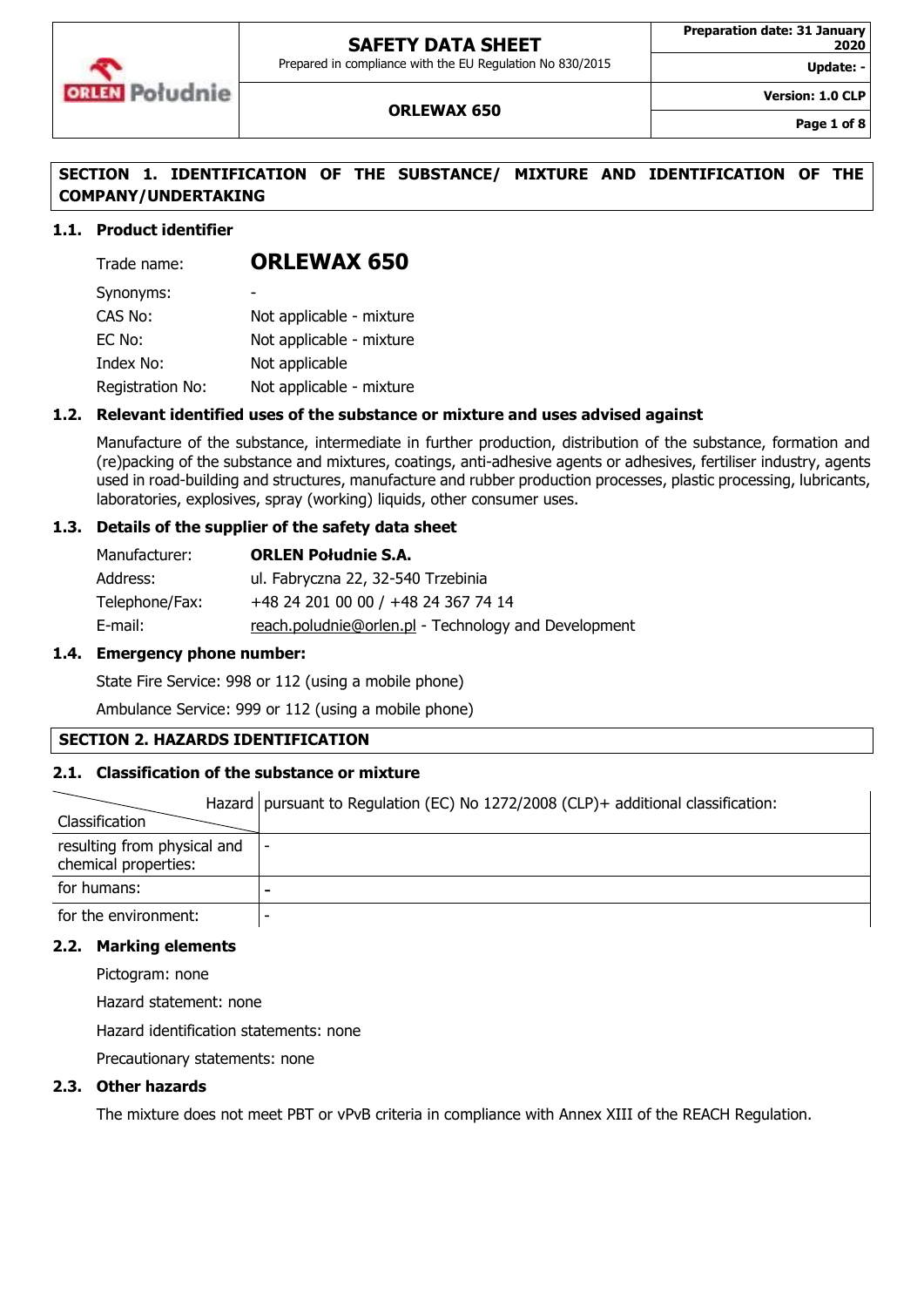

Prepared in compliance with the EU Regulation No 830/2015

**Update: -**

**Version: 1.0 CLP**

### **ORLEWAX 650**

**Page 1 of 8**

## **SECTION 1. IDENTIFICATION OF THE SUBSTANCE/ MIXTURE AND IDENTIFICATION OF THE COMPANY/UNDERTAKING**

### **1.1. Product identifier**

| Trade name:      | <b>ORLEWAX 650</b>       |
|------------------|--------------------------|
| Synonyms:        |                          |
| CAS No:          | Not applicable - mixture |
| EC No:           | Not applicable - mixture |
| Index No:        | Not applicable           |
| Registration No: | Not applicable - mixture |

### **1.2. Relevant identified uses of the substance or mixture and uses advised against**

Manufacture of the substance, intermediate in further production, distribution of the substance, formation and (re)packing of the substance and mixtures, coatings, anti-adhesive agents or adhesives, fertiliser industry, agents used in road-building and structures, manufacture and rubber production processes, plastic processing, lubricants, laboratories, explosives, spray (working) liquids, other consumer uses.

### **1.3. Details of the supplier of the safety data sheet**

| Manufacturer:  | <b>ORLEN Południe S.A.</b>                           |
|----------------|------------------------------------------------------|
| Address:       | ul. Fabryczna 22, 32-540 Trzebinia                   |
| Telephone/Fax: | +48 24 201 00 00 / +48 24 367 74 14                  |
| E-mail:        | reach.poludnie@orlen.pl - Technology and Development |

### **1.4. Emergency phone number:**

State Fire Service: 998 or 112 (using a mobile phone)

Ambulance Service: 999 or 112 (using a mobile phone)

### **SECTION 2. HAZARDS IDENTIFICATION**

### **2.1. Classification of the substance or mixture**

|                                                     | Hazard   pursuant to Regulation (EC) No 1272/2008 (CLP) + additional classification: |
|-----------------------------------------------------|--------------------------------------------------------------------------------------|
| Classification                                      |                                                                                      |
| resulting from physical and<br>chemical properties: | $\overline{\phantom{a}}$                                                             |
| for humans:                                         |                                                                                      |
| for the environment:                                |                                                                                      |

#### **2.2. Marking elements**

Pictogram: none

Hazard statement: none

Hazard identification statements: none

Precautionary statements: none

### **2.3. Other hazards**

The mixture does not meet PBT or vPvB criteria in compliance with Annex XIII of the REACH Regulation.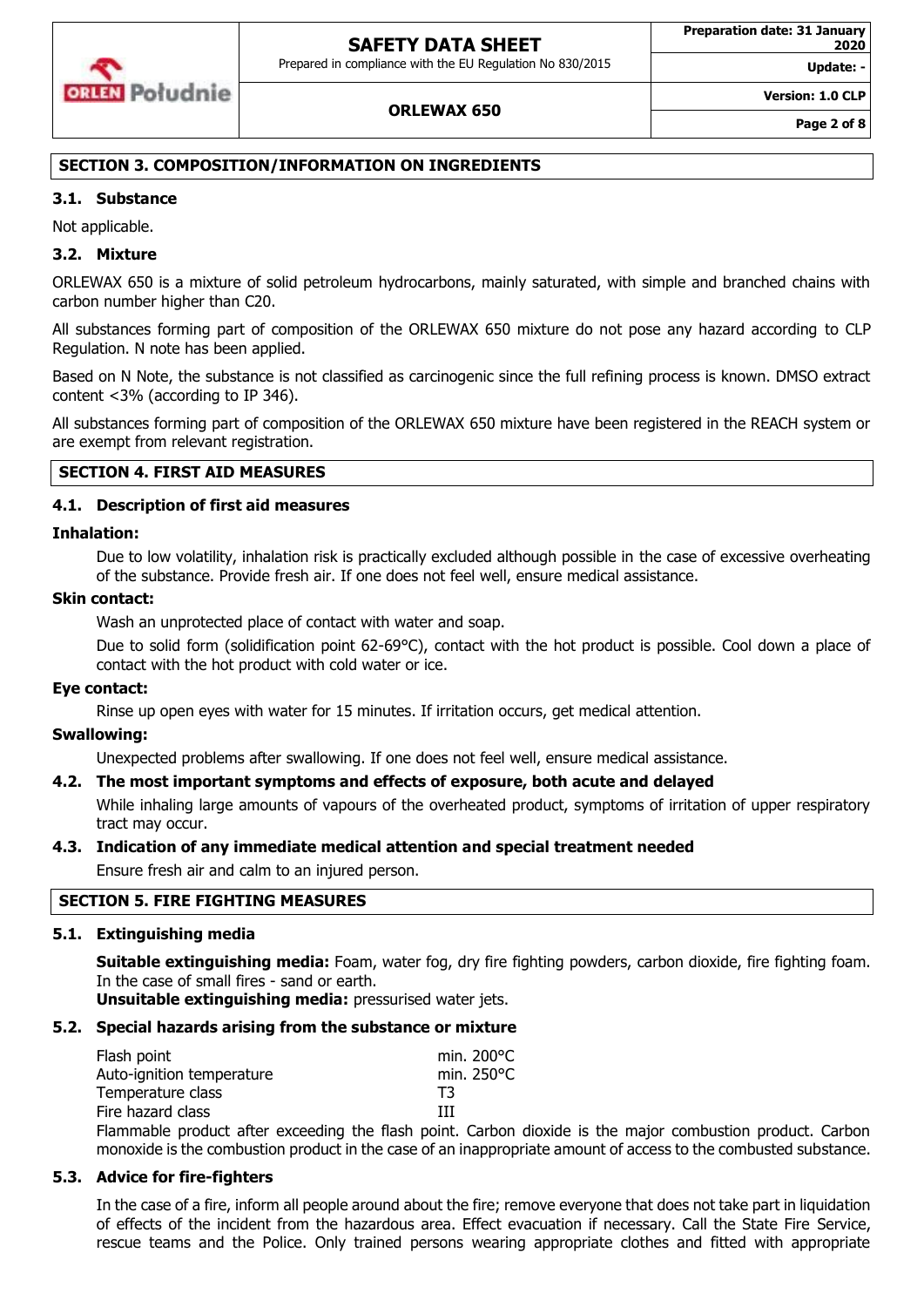Prepared in compliance with the EU Regulation No 830/2015



### **ORLEWAX 650**

**Version: 1.0 CLP**

**Update: -**

### **SECTION 3. COMPOSITION/INFORMATION ON INGREDIENTS**

### **3.1. Substance**

Not applicable.

### **3.2. Mixture**

ORLEWAX 650 is a mixture of solid petroleum hydrocarbons, mainly saturated, with simple and branched chains with carbon number higher than C20.

All substances forming part of composition of the ORLEWAX 650 mixture do not pose any hazard according to CLP Regulation. N note has been applied.

Based on N Note, the substance is not classified as carcinogenic since the full refining process is known. DMSO extract content <3% (according to IP 346).

All substances forming part of composition of the ORLEWAX 650 mixture have been registered in the REACH system or are exempt from relevant registration.

### **SECTION 4. FIRST AID MEASURES**

### **4.1. Description of first aid measures**

#### **Inhalation:**

Due to low volatility, inhalation risk is practically excluded although possible in the case of excessive overheating of the substance. Provide fresh air. If one does not feel well, ensure medical assistance.

#### **Skin contact:**

Wash an unprotected place of contact with water and soap.

Due to solid form (solidification point 62-69°C), contact with the hot product is possible. Cool down a place of contact with the hot product with cold water or ice.

### **Eye contact:**

Rinse up open eyes with water for 15 minutes. If irritation occurs, get medical attention.

### **Swallowing:**

Unexpected problems after swallowing. If one does not feel well, ensure medical assistance.

### **4.2. The most important symptoms and effects of exposure, both acute and delayed**

While inhaling large amounts of vapours of the overheated product, symptoms of irritation of upper respiratory tract may occur.

### **4.3. Indication of any immediate medical attention and special treatment needed**

Ensure fresh air and calm to an injured person.

### **SECTION 5. FIRE FIGHTING MEASURES**

### **5.1. Extinguishing media**

**Suitable extinguishing media:** Foam, water fog, dry fire fighting powders, carbon dioxide, fire fighting foam. In the case of small fires - sand or earth.

**Unsuitable extinguishing media:** pressurised water jets.

### **5.2. Special hazards arising from the substance or mixture**

| Flash point               |   |  | min. $200^{\circ}$ C |
|---------------------------|---|--|----------------------|
| Auto-ignition temperature |   |  | min. 250°C           |
| Temperature class         |   |  | TЗ                   |
| Fire hazard class         |   |  | ш                    |
|                           | . |  | .                    |

Flammable product after exceeding the flash point. Carbon dioxide is the major combustion product. Carbon monoxide is the combustion product in the case of an inappropriate amount of access to the combusted substance.

## **5.3. Advice for fire-fighters**

In the case of a fire, inform all people around about the fire; remove everyone that does not take part in liquidation of effects of the incident from the hazardous area. Effect evacuation if necessary. Call the State Fire Service, rescue teams and the Police. Only trained persons wearing appropriate clothes and fitted with appropriate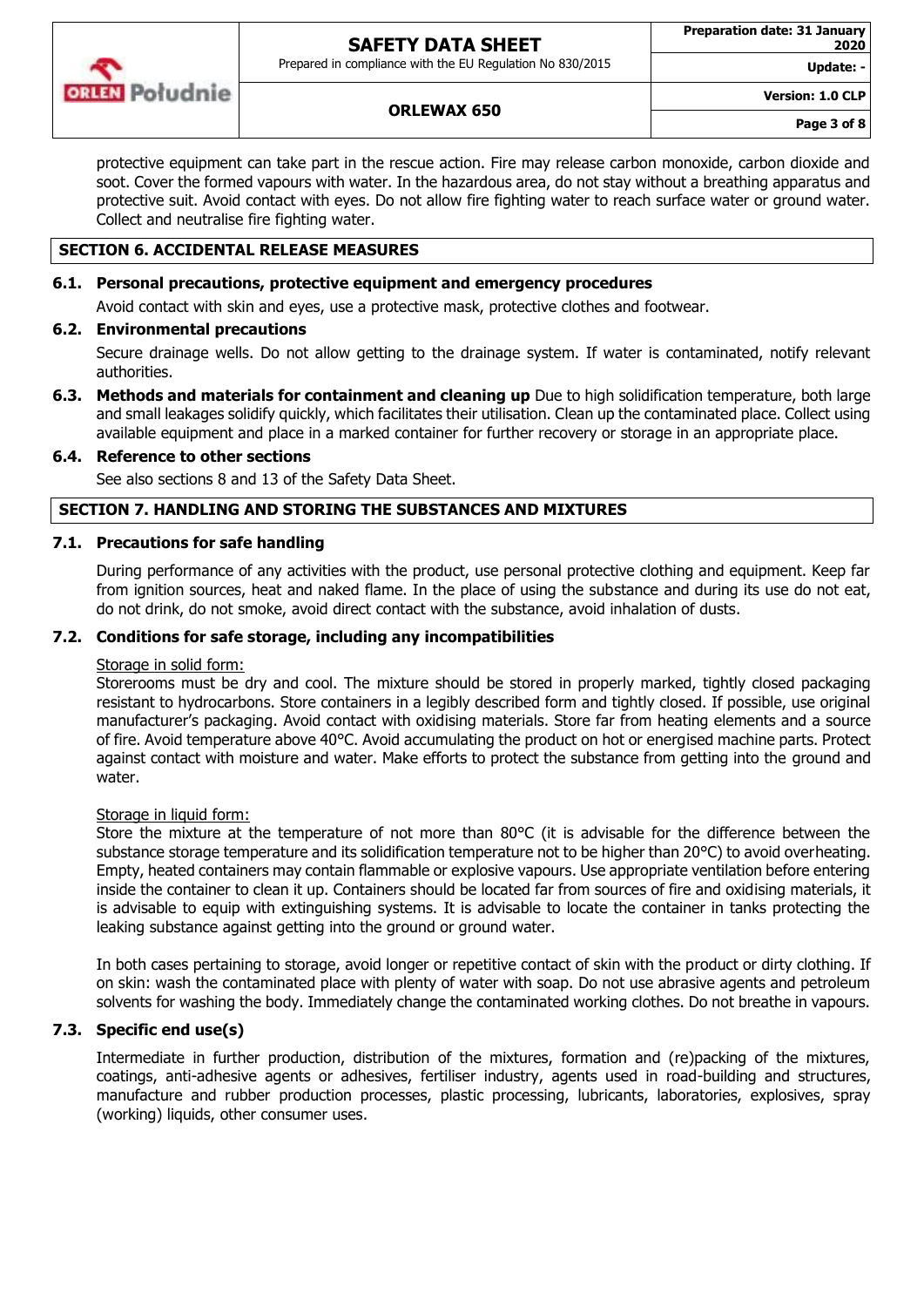

Prepared in compliance with the EU Regulation No 830/2015

**Update: -**

**Version: 1.0 CLP**

## **ORLEWAX 650**

protective equipment can take part in the rescue action. Fire may release carbon monoxide, carbon dioxide and soot. Cover the formed vapours with water. In the hazardous area, do not stay without a breathing apparatus and protective suit. Avoid contact with eyes. Do not allow fire fighting water to reach surface water or ground water. Collect and neutralise fire fighting water.

## **SECTION 6. ACCIDENTAL RELEASE MEASURES**

## **6.1. Personal precautions, protective equipment and emergency procedures**

Avoid contact with skin and eyes, use a protective mask, protective clothes and footwear.

## **6.2. Environmental precautions**

Secure drainage wells. Do not allow getting to the drainage system. If water is contaminated, notify relevant authorities.

**6.3. Methods and materials for containment and cleaning up** Due to high solidification temperature, both large and small leakages solidify quickly, which facilitates their utilisation. Clean up the contaminated place. Collect using available equipment and place in a marked container for further recovery or storage in an appropriate place.

## **6.4. Reference to other sections**

See also sections 8 and 13 of the Safety Data Sheet.

## **SECTION 7. HANDLING AND STORING THE SUBSTANCES AND MIXTURES**

## **7.1. Precautions for safe handling**

During performance of any activities with the product, use personal protective clothing and equipment. Keep far from ignition sources, heat and naked flame. In the place of using the substance and during its use do not eat, do not drink, do not smoke, avoid direct contact with the substance, avoid inhalation of dusts.

## **7.2. Conditions for safe storage, including any incompatibilities**

## Storage in solid form:

Storerooms must be dry and cool. The mixture should be stored in properly marked, tightly closed packaging resistant to hydrocarbons. Store containers in a legibly described form and tightly closed. If possible, use original manufacturer's packaging. Avoid contact with oxidising materials. Store far from heating elements and a source of fire. Avoid temperature above 40°C. Avoid accumulating the product on hot or energised machine parts. Protect against contact with moisture and water. Make efforts to protect the substance from getting into the ground and water.

## Storage in liquid form:

Store the mixture at the temperature of not more than 80°C (it is advisable for the difference between the substance storage temperature and its solidification temperature not to be higher than 20°C) to avoid overheating. Empty, heated containers may contain flammable or explosive vapours. Use appropriate ventilation before entering inside the container to clean it up. Containers should be located far from sources of fire and oxidising materials, it is advisable to equip with extinguishing systems. It is advisable to locate the container in tanks protecting the leaking substance against getting into the ground or ground water.

In both cases pertaining to storage, avoid longer or repetitive contact of skin with the product or dirty clothing. If on skin: wash the contaminated place with plenty of water with soap. Do not use abrasive agents and petroleum solvents for washing the body. Immediately change the contaminated working clothes. Do not breathe in vapours.

## **7.3. Specific end use(s)**

Intermediate in further production, distribution of the mixtures, formation and (re)packing of the mixtures, coatings, anti-adhesive agents or adhesives, fertiliser industry, agents used in road-building and structures, manufacture and rubber production processes, plastic processing, lubricants, laboratories, explosives, spray (working) liquids, other consumer uses.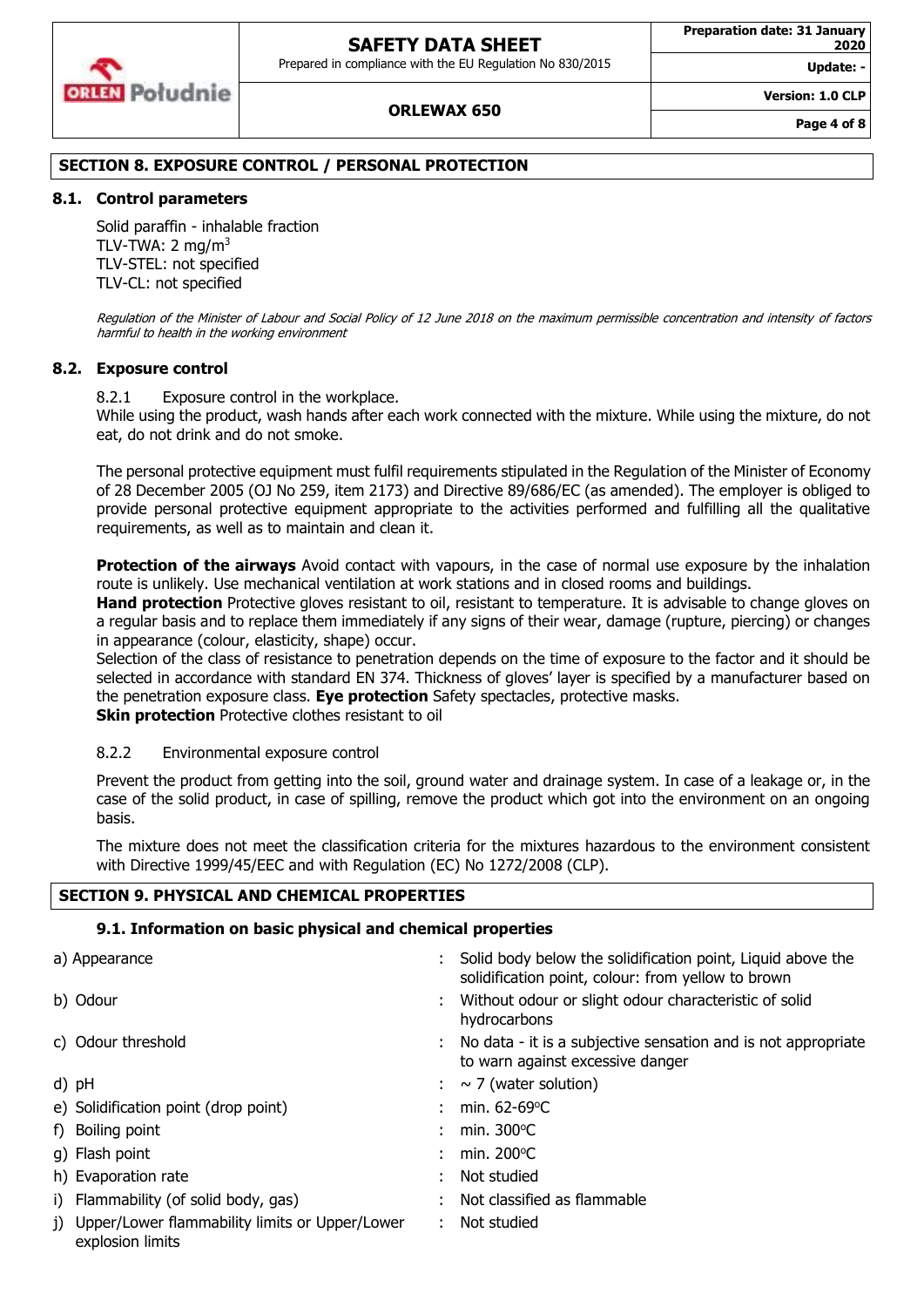Prepared in compliance with the EU Regulation No 830/2015



#### **Preparation date: 31 January 2020**

**Update: -**

**Version: 1.0 CLP**

#### **ORLEWAX 650**

**Page 4 of 8**

### **SECTION 8. EXPOSURE CONTROL / PERSONAL PROTECTION**

#### **8.1. Control parameters**

Solid paraffin - inhalable fraction TLV-TWA:  $2 \text{ mg/m}^3$ TLV-STEL: not specified TLV-CL: not specified

Regulation of the Minister of Labour and Social Policy of 12 June 2018 on the maximum permissible concentration and intensity of factors harmful to health in the working environment

#### **8.2. Exposure control**

8.2.1 Exposure control in the workplace.

While using the product, wash hands after each work connected with the mixture. While using the mixture, do not eat, do not drink and do not smoke.

The personal protective equipment must fulfil requirements stipulated in the Regulation of the Minister of Economy of 28 December 2005 (OJ No 259, item 2173) and Directive 89/686/EC (as amended). The employer is obliged to provide personal protective equipment appropriate to the activities performed and fulfilling all the qualitative requirements, as well as to maintain and clean it.

**Protection of the airways** Avoid contact with vapours, in the case of normal use exposure by the inhalation route is unlikely. Use mechanical ventilation at work stations and in closed rooms and buildings.

**Hand protection** Protective gloves resistant to oil, resistant to temperature. It is advisable to change gloves on a regular basis and to replace them immediately if any signs of their wear, damage (rupture, piercing) or changes in appearance (colour, elasticity, shape) occur.

Selection of the class of resistance to penetration depends on the time of exposure to the factor and it should be selected in accordance with standard EN 374. Thickness of gloves' layer is specified by a manufacturer based on the penetration exposure class. **Eye protection** Safety spectacles, protective masks. **Skin protection** Protective clothes resistant to oil

### 8.2.2 Environmental exposure control

Prevent the product from getting into the soil, ground water and drainage system. In case of a leakage or, in the case of the solid product, in case of spilling, remove the product which got into the environment on an ongoing basis.

The mixture does not meet the classification criteria for the mixtures hazardous to the environment consistent with Directive 1999/45/EEC and with Regulation (EC) No 1272/2008 (CLP).

### **SECTION 9. PHYSICAL AND CHEMICAL PROPERTIES**

### **9.1. Information on basic physical and chemical properties**

| a) Appearance                                                         | Solid body below the solidification point, Liquid above the<br>solidification point, colour: from yellow to brown |
|-----------------------------------------------------------------------|-------------------------------------------------------------------------------------------------------------------|
| b) Odour                                                              | Without odour or slight odour characteristic of solid<br>hydrocarbons                                             |
| c) Odour threshold                                                    | : No data - it is a subjective sensation and is not appropriate<br>to warn against excessive danger               |
| d) pH                                                                 | $: \sim$ 7 (water solution)                                                                                       |
| e) Solidification point (drop point)                                  | : min. $62-69^{\circ}$ C                                                                                          |
| f) Boiling point                                                      | : min. $300^{\circ}$ C                                                                                            |
| g) Flash point                                                        | : min. $200^{\circ}$ C                                                                                            |
| h) Evaporation rate                                                   | Not studied                                                                                                       |
| i) Flammability (of solid body, gas)                                  | Not classified as flammable                                                                                       |
| j) Upper/Lower flammability limits or Upper/Lower<br>explosion limits | $:$ Not studied                                                                                                   |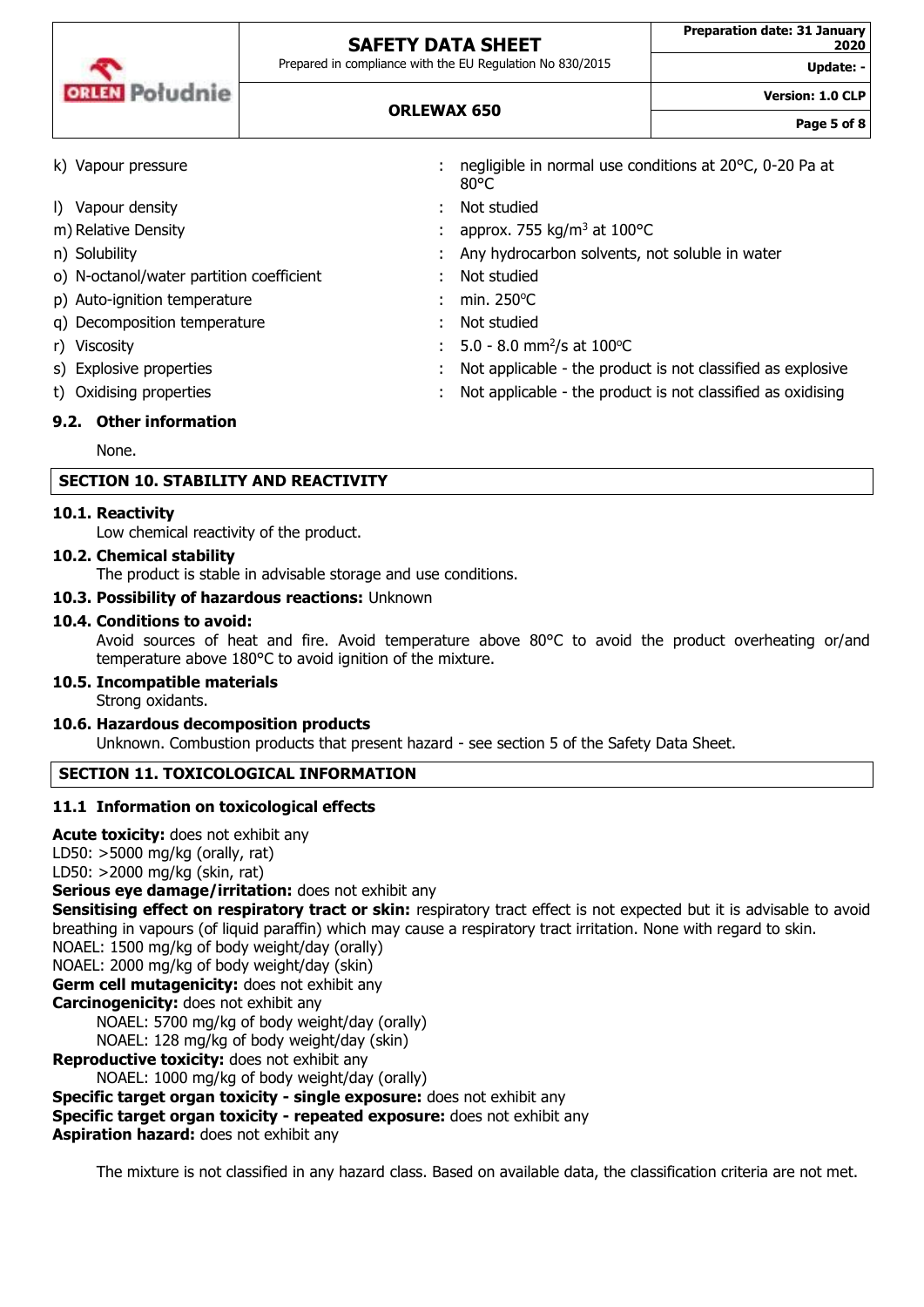| <b>ORLEN</b> Poludnie |  |
|-----------------------|--|

**ORLEWAX 650**

Prepared in compliance with the EU Regulation No 830/2015

Update:

**Page 5 of 8**

**Version: 1.0 CLP**

| k) Vapour pressure                       | negligible in normal use conditions at 20°C, 0-20 Pa at<br>$80^{\circ}$ C |
|------------------------------------------|---------------------------------------------------------------------------|
| I) Vapour density                        | : Not studied                                                             |
| m) Relative Density                      | : approx. 755 kg/m <sup>3</sup> at 100 $^{\circ}$ C                       |
| n) Solubility                            | : Any hydrocarbon solvents, not soluble in water                          |
| o) N-octanol/water partition coefficient | Not studied                                                               |
| p) Auto-ignition temperature             | min. $250^{\circ}$ C                                                      |
| q) Decomposition temperature             | Not studied                                                               |
| r) Viscosity                             | : $5.0 - 8.0$ mm <sup>2</sup> /s at 100 °C                                |
| s) Explosive properties                  | Not applicable - the product is not classified as explosive               |
| t) Oxidising properties                  | Not applicable - the product is not classified as oxidising               |
|                                          |                                                                           |

## **9.2. Other information**

None.

## **SECTION 10. STABILITY AND REACTIVITY**

### **10.1. Reactivity**

Low chemical reactivity of the product.

## **10.2. Chemical stability**

The product is stable in advisable storage and use conditions.

### **10.3. Possibility of hazardous reactions:** Unknown

### **10.4. Conditions to avoid:**

Avoid sources of heat and fire. Avoid temperature above 80°C to avoid the product overheating or/and temperature above 180°C to avoid ignition of the mixture.

## **10.5. Incompatible materials**

Strong oxidants.

## **10.6. Hazardous decomposition products**

Unknown. Combustion products that present hazard - see section 5 of the Safety Data Sheet.

## **SECTION 11. TOXICOLOGICAL INFORMATION**

## **11.1 Information on toxicological effects**

**Acute toxicity:** does not exhibit any LD50: >5000 mg/kg (orally, rat) LD50: >2000 mg/kg (skin, rat) **Serious eye damage/irritation:** does not exhibit any **Sensitising effect on respiratory tract or skin:** respiratory tract effect is not expected but it is advisable to avoid breathing in vapours (of liquid paraffin) which may cause a respiratory tract irritation. None with regard to skin. NOAEL: 1500 mg/kg of body weight/day (orally) NOAEL: 2000 mg/kg of body weight/day (skin) **Germ cell mutagenicity:** does not exhibit any **Carcinogenicity:** does not exhibit any NOAEL: 5700 mg/kg of body weight/day (orally) NOAEL: 128 mg/kg of body weight/day (skin) **Reproductive toxicity:** does not exhibit any NOAEL: 1000 mg/kg of body weight/day (orally) **Specific target organ toxicity - single exposure:** does not exhibit any **Specific target organ toxicity - repeated exposure:** does not exhibit any **Aspiration hazard:** does not exhibit any

The mixture is not classified in any hazard class. Based on available data, the classification criteria are not met.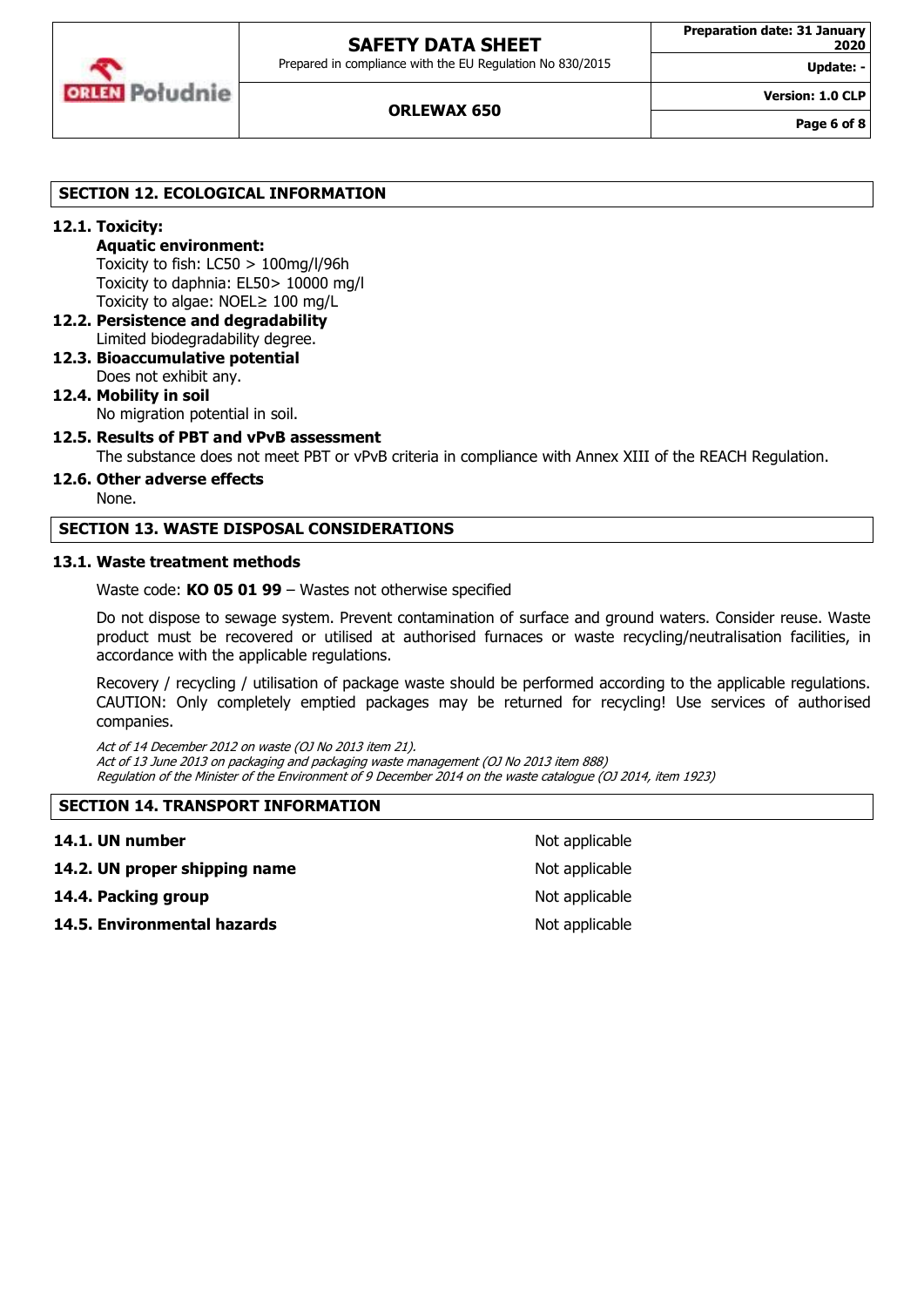

Prepared in compliance with the EU Regulation No 830/2015

**Update: - Version: 1.0 CLP**

## **SECTION 12. ECOLOGICAL INFORMATION**

## **12.1. Toxicity:**

## **Aquatic environment:**

Toxicity to fish: LC50 > 100mg/l/96h Toxicity to daphnia: EL50> 10000 mg/l Toxicity to algae: NOEL≥ 100 mg/L

- **12.2. Persistence and degradability** Limited biodegradability degree.
- **12.3. Bioaccumulative potential** Does not exhibit any.

## **12.4. Mobility in soil** No migration potential in soil.

## **12.5. Results of PBT and vPvB assessment**

The substance does not meet PBT or vPvB criteria in compliance with Annex XIII of the REACH Regulation.

## **12.6. Other adverse effects**

None.

### **SECTION 13. WASTE DISPOSAL CONSIDERATIONS**

#### **13.1. Waste treatment methods**

Waste code: **KO 05 01 99** – Wastes not otherwise specified

Do not dispose to sewage system. Prevent contamination of surface and ground waters. Consider reuse. Waste product must be recovered or utilised at authorised furnaces or waste recycling/neutralisation facilities, in accordance with the applicable regulations.

Recovery / recycling / utilisation of package waste should be performed according to the applicable regulations. CAUTION: Only completely emptied packages may be returned for recycling! Use services of authorised companies.

Act of 14 December 2012 on waste (OJ No 2013 item 21). Act of 13 June 2013 on packaging and packaging waste management (OJ No 2013 item 888) Regulation of the Minister of the Environment of 9 December 2014 on the waste catalogue (OJ 2014, item 1923)

### **SECTION 14. TRANSPORT INFORMATION**

| 14.1. UN number               | Not applicable |
|-------------------------------|----------------|
| 14.2. UN proper shipping name | Not applicable |
| 14.4. Packing group           | Not applicable |
| 14.5. Environmental hazards   | Not applicable |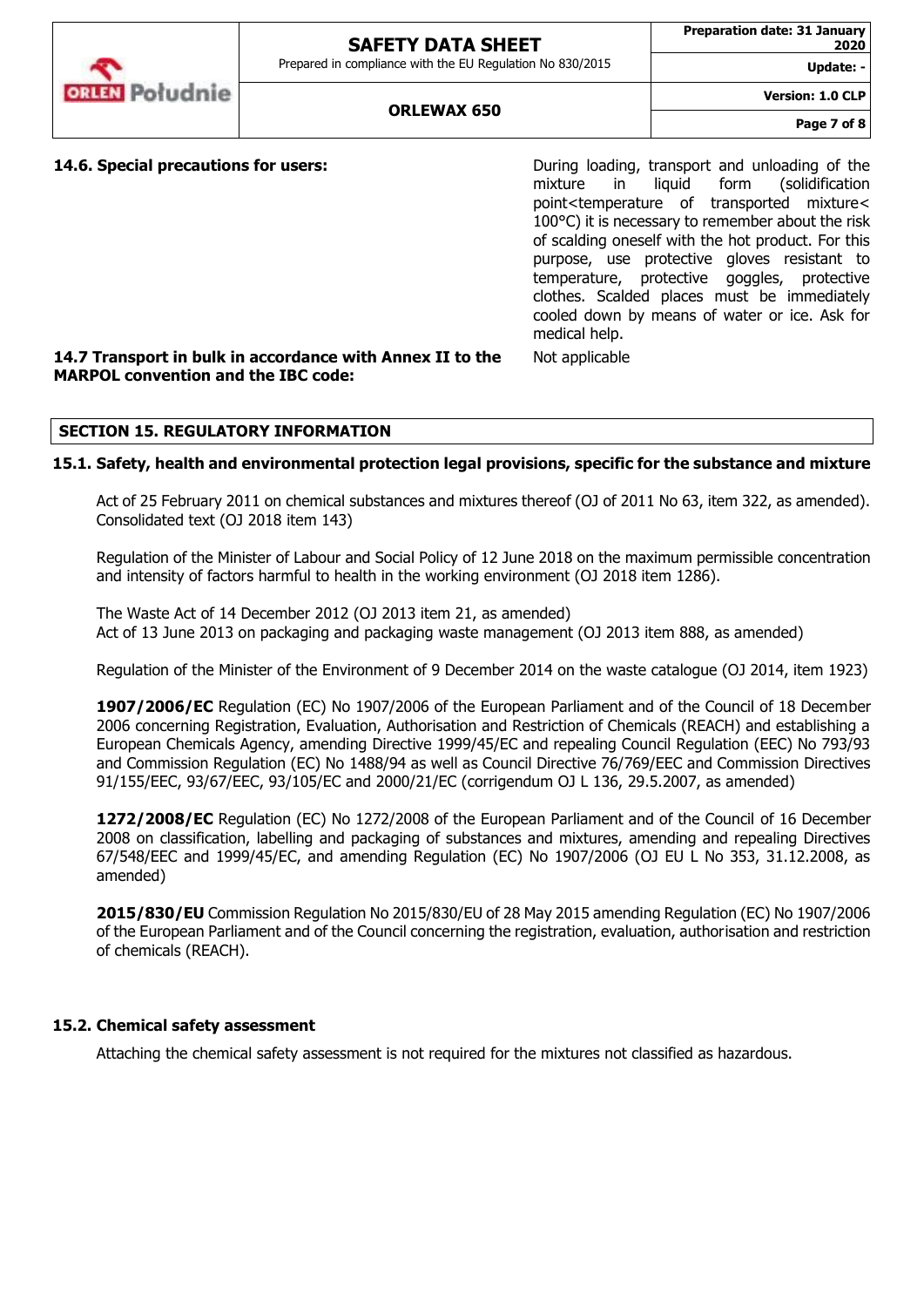Prepared in compliance with the EU Regulation No 830/2015

**Update: -**

**Version: 1.0 CLP**

**14.6. Special precautions for users:** The Supering During loading, transport and unloading of the mixture in liquid form (solidification point<temperature of transported mixture< 100°C) it is necessary to remember about the risk of scalding oneself with the hot product. For this purpose, use protective gloves resistant to temperature, protective goggles, protective clothes. Scalded places must be immediately cooled down by means of water or ice. Ask for medical help.

#### **14.7 Transport in bulk in accordance with Annex II to the MARPOL convention and the IBC code:**

## **SECTION 15. REGULATORY INFORMATION**

### **15.1. Safety, health and environmental protection legal provisions, specific for the substance and mixture**

Act of 25 February 2011 on chemical substances and mixtures thereof (OJ of 2011 No 63, item 322, as amended). Consolidated text (OJ 2018 item 143)

Not applicable

Regulation of the Minister of Labour and Social Policy of 12 June 2018 on the maximum permissible concentration and intensity of factors harmful to health in the working environment (OJ 2018 item 1286).

The Waste Act of 14 December 2012 (OJ 2013 item 21, as amended) Act of 13 June 2013 on packaging and packaging waste management (OJ 2013 item 888, as amended)

Regulation of the Minister of the Environment of 9 December 2014 on the waste catalogue (OJ 2014, item 1923)

**1907/2006/EC** Regulation (EC) No 1907/2006 of the European Parliament and of the Council of 18 December 2006 concerning Registration, Evaluation, Authorisation and Restriction of Chemicals (REACH) and establishing a European Chemicals Agency, amending Directive 1999/45/EC and repealing Council Regulation (EEC) No 793/93 and Commission Regulation (EC) No 1488/94 as well as Council Directive 76/769/EEC and Commission Directives 91/155/EEC, 93/67/EEC, 93/105/EC and 2000/21/EC (corrigendum OJ L 136, 29.5.2007, as amended)

**1272/2008/EC** Regulation (EC) No 1272/2008 of the European Parliament and of the Council of 16 December 2008 on classification, labelling and packaging of substances and mixtures, amending and repealing Directives 67/548/EEC and 1999/45/EC, and amending Regulation (EC) No 1907/2006 (OJ EU L No 353, 31.12.2008, as amended)

**2015/830/EU** Commission Regulation No 2015/830/EU of 28 May 2015 amending Regulation (EC) No 1907/2006 of the European Parliament and of the Council concerning the registration, evaluation, authorisation and restriction of chemicals (REACH).

### **15.2. Chemical safety assessment**

Attaching the chemical safety assessment is not required for the mixtures not classified as hazardous.